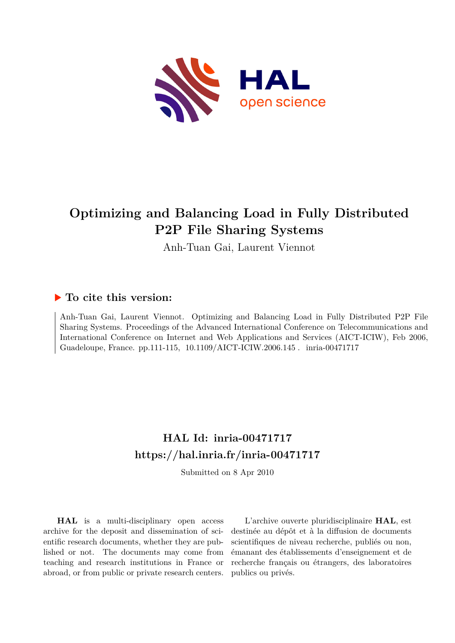

# **Optimizing and Balancing Load in Fully Distributed P2P File Sharing Systems**

Anh-Tuan Gai, Laurent Viennot

# **To cite this version:**

Anh-Tuan Gai, Laurent Viennot. Optimizing and Balancing Load in Fully Distributed P2P File Sharing Systems. Proceedings of the Advanced International Conference on Telecommunications and International Conference on Internet and Web Applications and Services (AICT-ICIW), Feb 2006, Guadeloupe, France. pp.111-115, 10.1109/AICT-ICIW.2006.145. inria-00471717

# **HAL Id: inria-00471717 <https://hal.inria.fr/inria-00471717>**

Submitted on 8 Apr 2010

**HAL** is a multi-disciplinary open access archive for the deposit and dissemination of scientific research documents, whether they are published or not. The documents may come from teaching and research institutions in France or abroad, or from public or private research centers.

L'archive ouverte pluridisciplinaire **HAL**, est destinée au dépôt et à la diffusion de documents scientifiques de niveau recherche, publiés ou non, émanant des établissements d'enseignement et de recherche français ou étrangers, des laboratoires publics ou privés.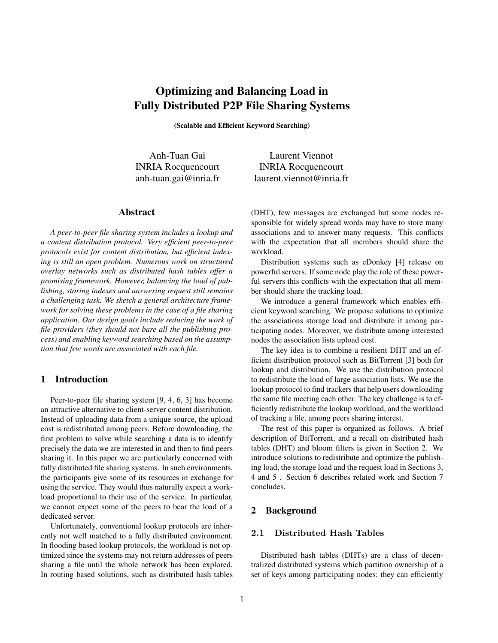# Optimizing and Balancing Load in Fully Distributed P2P File Sharing Systems

(Scalable and Efficient Keyword Searching)

| Anh-Tuan Gai              | <b>Laurent Viennot</b>    |
|---------------------------|---------------------------|
| <b>INRIA Rocquencourt</b> | <b>INRIA Rocquencourt</b> |
| anh-tuan.gai@inria.fr     | laurent.viennot@inria.fr  |

#### Abstract

*A peer-to-peer file sharing system includes a lookup and a content distribution protocol. Very efficient peer-to-peer protocols exist for content distribution, but efficient indexing is still an open problem. Numerous work on structured overlay networks such as distributed hash tables offer a promising framework. However, balancing the load of publishing, storing indexes and answering request still remains a challenging task. We sketch a general architecture framework for solving these problems in the case of a file sharing application. Our design goals include reducing the work of file providers (they should not bare all the publishing process) and enabling keyword searching based on the assumption that few words are associated with each file.*

# 1 Introduction

Peer-to-peer file sharing system [9, 4, 6, 3] has become an attractive alternative to client-server content distribution. Instead of uploading data from a unique source, the upload cost is redistributed among peers. Before downloading, the first problem to solve while searching a data is to identify precisely the data we are interested in and then to find peers sharing it. In this paper we are particularly concerned with fully distributed file sharing systems. In such environments, the participants give some of its resources in exchange for using the service. They would thus naturally expect a workload proportional to their use of the service. In particular, we cannot expect some of the peers to bear the load of a dedicated server.

Unfortunately, conventional lookup protocols are inherently not well matched to a fully distributed environment. In flooding based lookup protocols, the workload is not optimized since the systems may not return addresses of peers sharing a file until the whole network has been explored. In routing based solutions, such as distributed hash tables (DHT), few messages are exchanged but some nodes responsible for widely spread words may have to store many associations and to answer many requests. This conflicts with the expectation that all members should share the workload.

Distribution systems such as eDonkey [4] release on powerful servers. If some node play the role of these powerful servers this conflicts with the expectation that all member should share the tracking load.

We introduce a general framework which enables efficient keyword searching. We propose solutions to optimize the associations storage load and distribute it among participating nodes. Moreover, we distribute among interested nodes the association lists upload cost.

The key idea is to combine a resilient DHT and an efficient distribution protocol such as BitTorrent [3] both for lookup and distribution. We use the distribution protocol to redistribute the load of large association lists. We use the lookup protocol to find trackers that help users downloading the same file meeting each other. The key challenge is to efficiently redistribute the lookup workload, and the workload of tracking a file, among peers sharing interest.

The rest of this paper is organized as follows. A brief description of BitTorrent, and a recall on distributed hash tables (DHT) and bloom filters is given in Section 2. We introduce solutions to redistribute and optimize the publishing load, the storage load and the request load in Sections 3, 4 and 5 . Section 6 describes related work and Section 7 concludes.

# 2 Background

## 2.1 Distributed Hash Tables

Distributed hash tables (DHTs) are a class of decentralized distributed systems which partition ownership of a set of keys among participating nodes; they can efficiently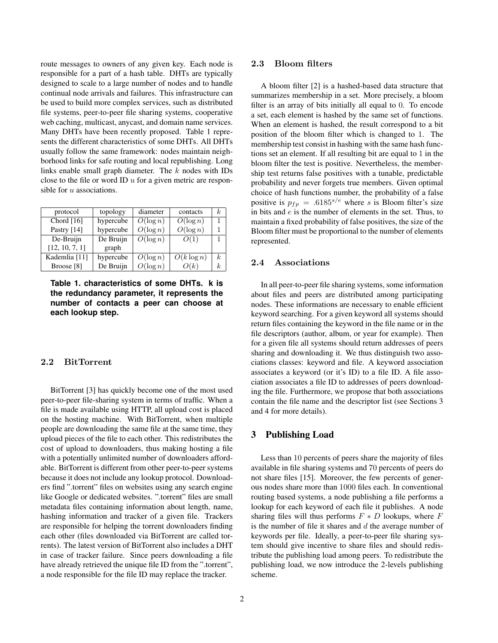route messages to owners of any given key. Each node is responsible for a part of a hash table. DHTs are typically designed to scale to a large number of nodes and to handle continual node arrivals and failures. This infrastructure can be used to build more complex services, such as distributed file systems, peer-to-peer file sharing systems, cooperative web caching, multicast, anycast, and domain name services. Many DHTs have been recently proposed. Table 1 represents the different characteristics of some DHTs. All DHTs usually follow the same framework: nodes maintain neighborhood links for safe routing and local republishing. Long links enable small graph diameter. The  $k$  nodes with IDs close to the file or word ID  $u$  for a given metric are responsible for  $u$  associations.

| protocol       | topology  | diameter    | contacts      | k.               |
|----------------|-----------|-------------|---------------|------------------|
| Chord $[16]$   | hypercube | $O(\log n)$ | $O(\log n)$   |                  |
| Pastry $[14]$  | hypercube | $O(\log n)$ | $O(\log n)$   |                  |
| De-Bruijn      | De Bruijn | $O(\log n)$ | O(1)          |                  |
| [12, 10, 7, 1] | graph     |             |               |                  |
| Kademlia [11]  | hypercube | $O(\log n)$ | $O(k \log n)$ | k.               |
| Broose [8]     | De Bruijn | $O(\log n)$ | O(k)          | $\boldsymbol{k}$ |

**Table 1. characteristics of some DHTs. k is the redundancy parameter, it represents the number of contacts a peer can choose at each lookup step.**

# 2.2 BitTorrent

BitTorrent [3] has quickly become one of the most used peer-to-peer file-sharing system in terms of traffic. When a file is made available using HTTP, all upload cost is placed on the hosting machine. With BitTorrent, when multiple people are downloading the same file at the same time, they upload pieces of the file to each other. This redistributes the cost of upload to downloaders, thus making hosting a file with a potentially unlimited number of downloaders affordable. BitTorrent is different from other peer-to-peer systems because it does not include any lookup protocol. Downloaders find ".torrent" files on websites using any search engine like Google or dedicated websites. ".torrent" files are small metadata files containing information about length, name, hashing information and tracker of a given file. Trackers are responsible for helping the torrent downloaders finding each other (files downloaded via BitTorrent are called torrents). The latest version of BitTorrent also includes a DHT in case of tracker failure. Since peers downloading a file have already retrieved the unique file ID from the ".torrent", a node responsible for the file ID may replace the tracker.

#### 2.3 Bloom filters

A bloom filter [2] is a hashed-based data structure that summarizes membership in a set. More precisely, a bloom filter is an array of bits initially all equal to 0. To encode a set, each element is hashed by the same set of functions. When an element is hashed, the result correspond to a bit position of the bloom filter which is changed to 1. The membership test consist in hashing with the same hash functions set an element. If all resulting bit are equal to 1 in the bloom filter the test is positive. Nevertheless, the membership test returns false positives with a tunable, predictable probability and never forgets true members. Given optimal choice of hash functions number, the probability of a false positive is  $p_{fp} = .6185^{s/e}$  where s is Bloom filter's size in bits and  $e$  is the number of elements in the set. Thus, to maintain a fixed probability of false positives, the size of the Bloom filter must be proportional to the number of elements represented.

# 2.4 Associations

In all peer-to-peer file sharing systems, some information about files and peers are distributed among participating nodes. These informations are necessary to enable efficient keyword searching. For a given keyword all systems should return files containing the keyword in the file name or in the file descriptors (author, album, or year for example). Then for a given file all systems should return addresses of peers sharing and downloading it. We thus distinguish two associations classes: keyword and file. A keyword association associates a keyword (or it's ID) to a file ID. A file association associates a file ID to addresses of peers downloading the file. Furthermore, we propose that both associations contain the file name and the descriptor list (see Sections 3 and 4 for more details).

# 3 Publishing Load

Less than 10 percents of peers share the majority of files available in file sharing systems and 70 percents of peers do not share files [15]. Moreover, the few percents of generous nodes share more than 1000 files each. In conventional routing based systems, a node publishing a file performs a lookup for each keyword of each file it publishes. A node sharing files will thus performs  $F * D$  lookups, where F is the number of file it shares and  $d$  the average number of keywords per file. Ideally, a peer-to-peer file sharing system should give incentive to share files and should redistribute the publishing load among peers. To redistribute the publishing load, we now introduce the 2-levels publishing scheme.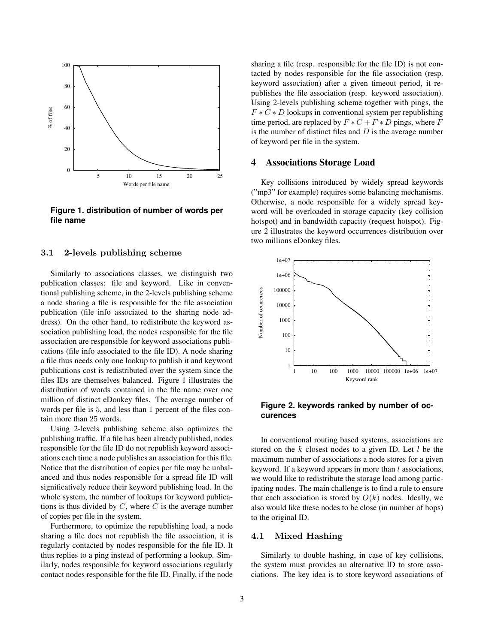

**Figure 1. distribution of number of words per file name**

#### 3.1 2-levels publishing scheme

Similarly to associations classes, we distinguish two publication classes: file and keyword. Like in conventional publishing scheme, in the 2-levels publishing scheme a node sharing a file is responsible for the file association publication (file info associated to the sharing node address). On the other hand, to redistribute the keyword association publishing load, the nodes responsible for the file association are responsible for keyword associations publications (file info associated to the file ID). A node sharing a file thus needs only one lookup to publish it and keyword publications cost is redistributed over the system since the files IDs are themselves balanced. Figure 1 illustrates the distribution of words contained in the file name over one million of distinct eDonkey files. The average number of words per file is 5, and less than 1 percent of the files contain more than 25 words.

Using 2-levels publishing scheme also optimizes the publishing traffic. If a file has been already published, nodes responsible for the file ID do not republish keyword associations each time a node publishes an association for this file. Notice that the distribution of copies per file may be unbalanced and thus nodes responsible for a spread file ID will significatively reduce their keyword publishing load. In the whole system, the number of lookups for keyword publications is thus divided by  $C$ , where  $C$  is the average number of copies per file in the system.

Furthermore, to optimize the republishing load, a node sharing a file does not republish the file association, it is regularly contacted by nodes responsible for the file ID. It thus replies to a ping instead of performing a lookup. Similarly, nodes responsible for keyword associations regularly contact nodes responsible for the file ID. Finally, if the node

sharing a file (resp. responsible for the file ID) is not contacted by nodes responsible for the file association (resp. keyword association) after a given timeout period, it republishes the file association (resp. keyword association). Using 2-levels publishing scheme together with pings, the  $F * C * D$  lookups in conventional system per republishing time period, are replaced by  $F * C + F * D$  pings, where F is the number of distinct files and  $D$  is the average number of keyword per file in the system.

#### 4 Associations Storage Load

Key collisions introduced by widely spread keywords ("mp3" for example) requires some balancing mechanisms. Otherwise, a node responsible for a widely spread keyword will be overloaded in storage capacity (key collision hotspot) and in bandwidth capacity (request hotspot). Figure 2 illustrates the keyword occurrences distribution over two millions eDonkey files.



**Figure 2. keywords ranked by number of occurences**

In conventional routing based systems, associations are stored on the  $k$  closest nodes to a given ID. Let  $l$  be the maximum number of associations a node stores for a given keyword. If a keyword appears in more than  $l$  associations, we would like to redistribute the storage load among participating nodes. The main challenge is to find a rule to ensure that each association is stored by  $O(k)$  nodes. Ideally, we also would like these nodes to be close (in number of hops) to the original ID.

# 4.1 Mixed Hashing

Similarly to double hashing, in case of key collisions, the system must provides an alternative ID to store associations. The key idea is to store keyword associations of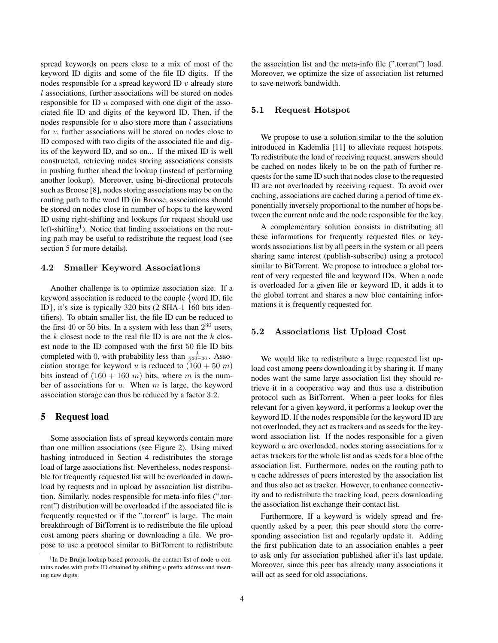spread keywords on peers close to a mix of most of the keyword ID digits and some of the file ID digits. If the nodes responsible for a spread keyword ID  $v$  already store l associations, further associations will be stored on nodes responsible for ID  $u$  composed with one digit of the associated file ID and digits of the keyword ID. Then, if the nodes responsible for  $u$  also store more than  $l$  associations for v, further associations will be stored on nodes close to ID composed with two digits of the associated file and digits of the keyword ID, and so on... If the mixed ID is well constructed, retrieving nodes storing associations consists in pushing further ahead the lookup (instead of performing another lookup). Moreover, using bi-directional protocols such as Broose [8], nodes storing associations may be on the routing path to the word ID (in Broose, associations should be stored on nodes close in number of hops to the keyword ID using right-shifting and lookups for request should use left-shifting<sup>1</sup>). Notice that finding associations on the routing path may be useful to redistribute the request load (see section 5 for more details).

# 4.2 Smaller Keyword Associations

Another challenge is to optimize association size. If a keyword association is reduced to the couple {word ID, file ID}, it's size is typically 320 bits (2 SHA-1 160 bits identifiers). To obtain smaller list, the file ID can be reduced to the first 40 or 50 bits. In a system with less than  $2^{30}$  users, the  $k$  closest node to the real file ID is are not the  $k$  closest node to the ID composed with the first 50 file ID bits completed with 0, with probability less than  $\frac{k}{2^{50-30}}$ . Association storage for keyword u is reduced to  $(160 + 50 m)$ bits instead of  $(160 + 160 m)$  bits, where m is the number of associations for  $u$ . When  $m$  is large, the keyword association storage can thus be reduced by a factor 3.2.

#### 5 Request load

Some association lists of spread keywords contain more than one million associations (see Figure 2). Using mixed hashing introduced in Section 4 redistributes the storage load of large associations list. Nevertheless, nodes responsible for frequently requested list will be overloaded in download by requests and in upload by association list distribution. Similarly, nodes responsible for meta-info files (".torrent") distribution will be overloaded if the associated file is frequently requested or if the ".torrent" is large. The main breakthrough of BitTorrent is to redistribute the file upload cost among peers sharing or downloading a file. We propose to use a protocol similar to BitTorrent to redistribute the association list and the meta-info file (".torrent") load. Moreover, we optimize the size of association list returned to save network bandwidth.

#### 5.1 Request Hotspot

We propose to use a solution similar to the the solution introduced in Kademlia [11] to alleviate request hotspots. To redistribute the load of receiving request, answers should be cached on nodes likely to be on the path of further requests for the same ID such that nodes close to the requested ID are not overloaded by receiving request. To avoid over caching, associations are cached during a period of time exponentially inversely proportional to the number of hops between the current node and the node responsible for the key.

A complementary solution consists in distributing all these informations for frequently requested files or keywords associations list by all peers in the system or all peers sharing same interest (publish-subscribe) using a protocol similar to BitTorrent. We propose to introduce a global torrent of very requested file and keyword IDs. When a node is overloaded for a given file or keyword ID, it adds it to the global torrent and shares a new bloc containing informations it is frequently requested for.

## 5.2 Associations list Upload Cost

We would like to redistribute a large requested list upload cost among peers downloading it by sharing it. If many nodes want the same large association list they should retrieve it in a cooperative way and thus use a distribution protocol such as BitTorrent. When a peer looks for files relevant for a given keyword, it performs a lookup over the keyword ID. If the nodes responsible for the keyword ID are not overloaded, they act as trackers and as seeds for the keyword association list. If the nodes responsible for a given keyword  $u$  are overloaded, nodes storing associations for  $u$ act as trackers for the whole list and as seeds for a bloc of the association list. Furthermore, nodes on the routing path to u cache addresses of peers interested by the association list and thus also act as tracker. However, to enhance connectivity and to redistribute the tracking load, peers downloading the association list exchange their contact list.

Furthermore, If a keyword is widely spread and frequently asked by a peer, this peer should store the corresponding association list and regularly update it. Adding the first publication date to an association enables a peer to ask only for association published after it's last update. Moreover, since this peer has already many associations it will act as seed for old associations.

<sup>&</sup>lt;sup>1</sup>In De Bruijn lookup based protocols, the contact list of node  $u$  contains nodes with prefix ID obtained by shifting  $u$  prefix address and inserting new digits.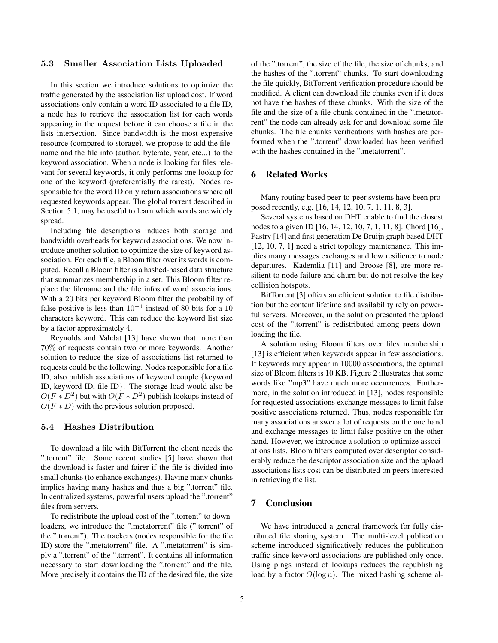#### 5.3 Smaller Association Lists Uploaded

In this section we introduce solutions to optimize the traffic generated by the association list upload cost. If word associations only contain a word ID associated to a file ID, a node has to retrieve the association list for each words appearing in the request before it can choose a file in the lists intersection. Since bandwidth is the most expensive resource (compared to storage), we propose to add the filename and the file info (author, byterate, year, etc...) to the keyword association. When a node is looking for files relevant for several keywords, it only performs one lookup for one of the keyword (preferentially the rarest). Nodes responsible for the word ID only return associations where all requested keywords appear. The global torrent described in Section 5.1, may be useful to learn which words are widely spread.

Including file descriptions induces both storage and bandwidth overheads for keyword associations. We now introduce another solution to optimize the size of keyword association. For each file, a Bloom filter over its words is computed. Recall a Bloom filter is a hashed-based data structure that summarizes membership in a set. This Bloom filter replace the filename and the file infos of word associations. With a 20 bits per keyword Bloom filter the probability of false positive is less than  $10^{-4}$  instead of 80 bits for a 10 characters keyword. This can reduce the keyword list size by a factor approximately 4.

Reynolds and Vahdat [13] have shown that more than 70% of requests contain two or more keywords. Another solution to reduce the size of associations list returned to requests could be the following. Nodes responsible for a file ID, also publish associations of keyword couple {keyword ID, keyword ID, file ID}. The storage load would also be  $O(F \cdot D^2)$  but with  $O(F \cdot D^2)$  publish lookups instead of  $O(F*D)$  with the previous solution proposed.

#### 5.4 Hashes Distribution

To download a file with BitTorrent the client needs the ".torrent" file. Some recent studies [5] have shown that the download is faster and fairer if the file is divided into small chunks (to enhance exchanges). Having many chunks implies having many hashes and thus a big ".torrent" file. In centralized systems, powerful users upload the ".torrent" files from servers.

To redistribute the upload cost of the ".torrent" to downloaders, we introduce the ".metatorrent" file (".torrent" of the ".torrent"). The trackers (nodes responsible for the file ID) store the ".metatorrent" file. A ".metatorrent" is simply a ".torrent" of the ".torrent". It contains all information necessary to start downloading the ".torrent" and the file. More precisely it contains the ID of the desired file, the size

of the ".torrent", the size of the file, the size of chunks, and the hashes of the ".torrent" chunks. To start downloading the file quickly, BitTorrent verification procedure should be modified. A client can download file chunks even if it does not have the hashes of these chunks. With the size of the file and the size of a file chunk contained in the ".metatorrent" the node can already ask for and download some file chunks. The file chunks verifications with hashes are performed when the ".torrent" downloaded has been verified with the hashes contained in the ".metatorrent".

# 6 Related Works

Many routing based peer-to-peer systems have been proposed recently, e.g. [16, 14, 12, 10, 7, 1, 11, 8, 3].

Several systems based on DHT enable to find the closest nodes to a given ID [16, 14, 12, 10, 7, 1, 11, 8]. Chord [16], Pastry [14] and first generation De Bruijn graph based DHT [12, 10, 7, 1] need a strict topology maintenance. This implies many messages exchanges and low resilience to node departures. Kademlia [11] and Broose [8], are more resilient to node failure and churn but do not resolve the key collision hotspots.

BitTorrent [3] offers an efficient solution to file distribution but the content lifetime and availability rely on powerful servers. Moreover, in the solution presented the upload cost of the ".torrent" is redistributed among peers downloading the file.

A solution using Bloom filters over files membership [13] is efficient when keywords appear in few associations. If keywords may appear in 10000 associations, the optimal size of Bloom filters is 10 KB. Figure 2 illustrates that some words like "mp3" have much more occurrences. Furthermore, in the solution introduced in [13], nodes responsible for requested associations exchange messages to limit false positive associations returned. Thus, nodes responsible for many associations answer a lot of requests on the one hand and exchange messages to limit false positive on the other hand. However, we introduce a solution to optimize associations lists. Bloom filters computed over descriptor considerably reduce the descriptor association size and the upload associations lists cost can be distributed on peers interested in retrieving the list.

# 7 Conclusion

We have introduced a general framework for fully distributed file sharing system. The multi-level publication scheme introduced significatively reduces the publication traffic since keyword associations are published only once. Using pings instead of lookups reduces the republishing load by a factor  $O(\log n)$ . The mixed hashing scheme al